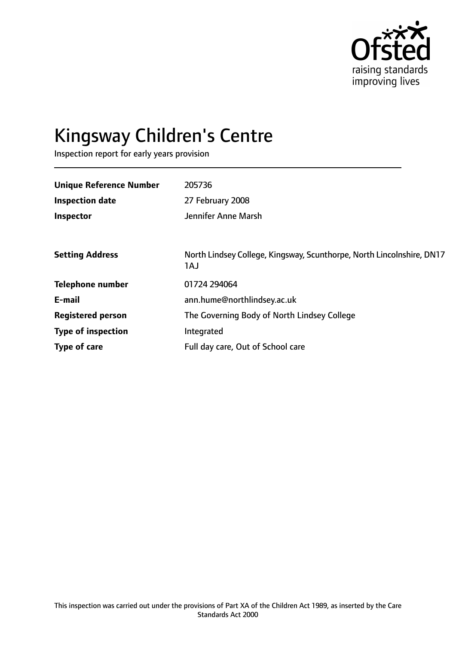

# Kingsway Children's Centre

Inspection report for early years provision

| <b>Unique Reference Number</b> | 205736                                                                       |
|--------------------------------|------------------------------------------------------------------------------|
| <b>Inspection date</b>         | 27 February 2008                                                             |
| Inspector                      | Jennifer Anne Marsh                                                          |
|                                |                                                                              |
| <b>Setting Address</b>         | North Lindsey College, Kingsway, Scunthorpe, North Lincolnshire, DN17<br>1AJ |
| <b>Telephone number</b>        | 01724 294064                                                                 |
| E-mail                         | ann.hume@northlindsey.ac.uk                                                  |
| <b>Registered person</b>       | The Governing Body of North Lindsey College                                  |
| <b>Type of inspection</b>      | Integrated                                                                   |
| Type of care                   | Full day care, Out of School care                                            |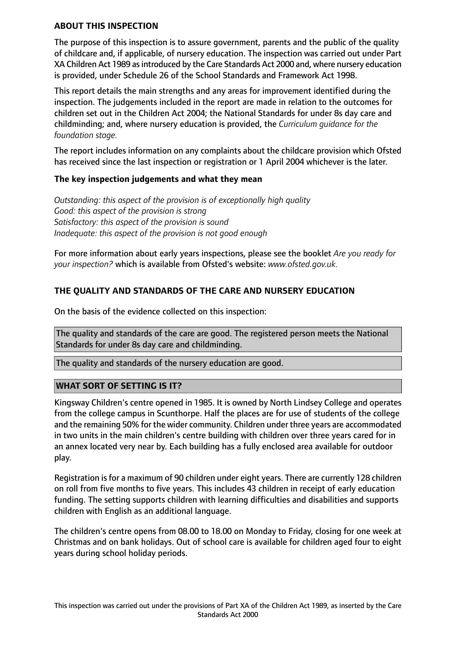#### **ABOUT THIS INSPECTION**

The purpose of this inspection is to assure government, parents and the public of the quality of childcare and, if applicable, of nursery education. The inspection was carried out under Part XA Children Act 1989 as introduced by the Care Standards Act 2000 and, where nursery education is provided, under Schedule 26 of the School Standards and Framework Act 1998.

This report details the main strengths and any areas for improvement identified during the inspection. The judgements included in the report are made in relation to the outcomes for children set out in the Children Act 2004; the National Standards for under 8s day care and childminding; and, where nursery education is provided, the *Curriculum guidance for the foundation stage.*

The report includes information on any complaints about the childcare provision which Ofsted has received since the last inspection or registration or 1 April 2004 whichever is the later.

#### **The key inspection judgements and what they mean**

*Outstanding: this aspect of the provision is of exceptionally high quality Good: this aspect of the provision is strong Satisfactory: this aspect of the provision is sound Inadequate: this aspect of the provision is not good enough*

For more information about early years inspections, please see the booklet *Are you ready for your inspection?* which is available from Ofsted's website: *www.ofsted.gov.uk.*

## **THE QUALITY AND STANDARDS OF THE CARE AND NURSERY EDUCATION**

On the basis of the evidence collected on this inspection:

The quality and standards of the care are good. The registered person meets the National Standards for under 8s day care and childminding.

The quality and standards of the nursery education are good.

#### **WHAT SORT OF SETTING IS IT?**

Kingsway Children's centre opened in 1985. It is owned by North Lindsey College and operates from the college campus in Scunthorpe. Half the places are for use of students of the college and the remaining 50% for the wider community. Children under three years are accommodated in two units in the main children's centre building with children over three years cared for in an annex located very near by. Each building has a fully enclosed area available for outdoor play.

Registration is for a maximum of 90 children under eight years. There are currently 128 children on roll from five months to five years. This includes 43 children in receipt of early education funding. The setting supports children with learning difficulties and disabilities and supports children with English as an additional language.

The children's centre opens from 08.00 to 18.00 on Monday to Friday, closing for one week at Christmas and on bank holidays. Out of school care is available for children aged four to eight years during school holiday periods.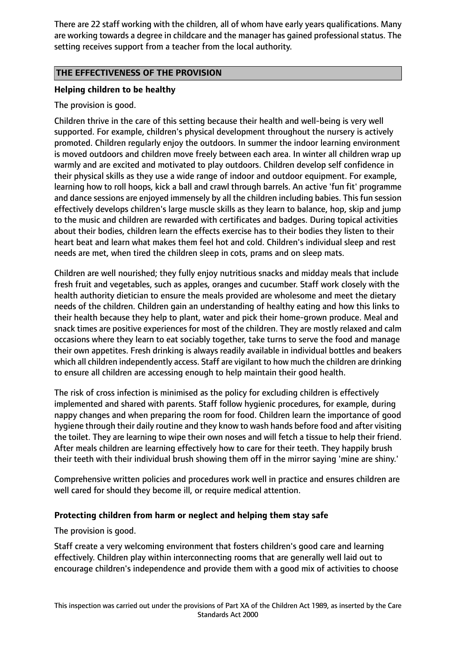There are 22 staff working with the children, all of whom have early years qualifications. Many are working towards a degree in childcare and the manager has gained professional status. The setting receives support from a teacher from the local authority.

### **THE EFFECTIVENESS OF THE PROVISION**

## **Helping children to be healthy**

The provision is good.

Children thrive in the care of this setting because their health and well-being is very well supported. For example, children's physical development throughout the nursery is actively promoted. Children regularly enjoy the outdoors. In summer the indoor learning environment is moved outdoors and children move freely between each area. In winter all children wrap up warmly and are excited and motivated to play outdoors. Children develop self confidence in their physical skills as they use a wide range of indoor and outdoor equipment. For example, learning how to roll hoops, kick a ball and crawl through barrels. An active 'fun fit' programme and dance sessions are enjoyed immensely by all the children including babies. This fun session effectively develops children's large muscle skills as they learn to balance, hop, skip and jump to the music and children are rewarded with certificates and badges. During topical activities about their bodies, children learn the effects exercise has to their bodies they listen to their heart beat and learn what makes them feel hot and cold. Children's individual sleep and rest needs are met, when tired the children sleep in cots, prams and on sleep mats.

Children are well nourished; they fully enjoy nutritious snacks and midday meals that include fresh fruit and vegetables, such as apples, oranges and cucumber. Staff work closely with the health authority dietician to ensure the meals provided are wholesome and meet the dietary needs of the children. Children gain an understanding of healthy eating and how this links to their health because they help to plant, water and pick their home-grown produce. Meal and snack times are positive experiences for most of the children. They are mostly relaxed and calm occasions where they learn to eat sociably together, take turns to serve the food and manage their own appetites. Fresh drinking is always readily available in individual bottles and beakers which all children independently access. Staff are vigilant to how much the children are drinking to ensure all children are accessing enough to help maintain their good health.

The risk of cross infection is minimised as the policy for excluding children is effectively implemented and shared with parents. Staff follow hygienic procedures, for example, during nappy changes and when preparing the room for food. Children learn the importance of good hygiene through their daily routine and they know to wash hands before food and after visiting the toilet. They are learning to wipe their own noses and will fetch a tissue to help their friend. After meals children are learning effectively how to care for their teeth. They happily brush their teeth with their individual brush showing them off in the mirror saying 'mine are shiny.'

Comprehensive written policies and procedures work well in practice and ensures children are well cared for should they become ill, or require medical attention.

#### **Protecting children from harm or neglect and helping them stay safe**

The provision is good.

Staff create a very welcoming environment that fosters children's good care and learning effectively. Children play within interconnecting rooms that are generally well laid out to encourage children's independence and provide them with a good mix of activities to choose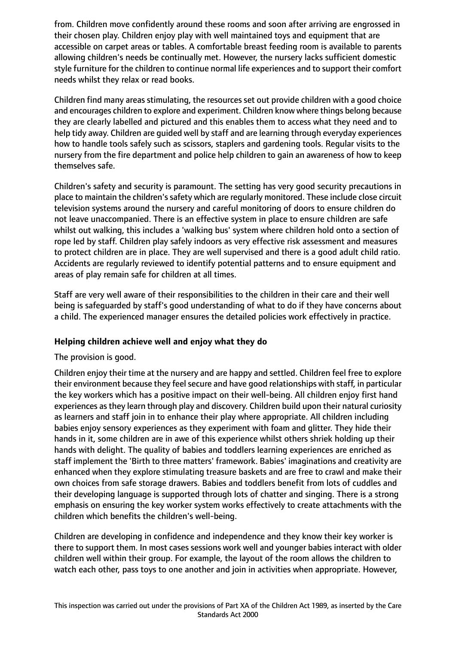from. Children move confidently around these rooms and soon after arriving are engrossed in their chosen play. Children enjoy play with well maintained toys and equipment that are accessible on carpet areas or tables. A comfortable breast feeding room is available to parents allowing children's needs be continually met. However, the nursery lacks sufficient domestic style furniture for the children to continue normal life experiences and to support their comfort needs whilst they relax or read books.

Children find many areas stimulating, the resources set out provide children with a good choice and encourages children to explore and experiment. Children know where things belong because they are clearly labelled and pictured and this enables them to access what they need and to help tidy away. Children are guided well by staff and are learning through everyday experiences how to handle tools safely such as scissors, staplers and gardening tools. Regular visits to the nursery from the fire department and police help children to gain an awareness of how to keep themselves safe.

Children's safety and security is paramount. The setting has very good security precautions in place to maintain the children's safety which are regularly monitored. These include close circuit television systems around the nursery and careful monitoring of doors to ensure children do not leave unaccompanied. There is an effective system in place to ensure children are safe whilst out walking, this includes a 'walking bus' system where children hold onto a section of rope led by staff. Children play safely indoors as very effective risk assessment and measures to protect children are in place. They are well supervised and there is a good adult child ratio. Accidents are regularly reviewed to identify potential patterns and to ensure equipment and areas of play remain safe for children at all times.

Staff are very well aware of their responsibilities to the children in their care and their well being is safeguarded by staff's good understanding of what to do if they have concerns about a child. The experienced manager ensures the detailed policies work effectively in practice.

#### **Helping children achieve well and enjoy what they do**

#### The provision is good.

Children enjoy their time at the nursery and are happy and settled. Children feel free to explore their environment because they feel secure and have good relationships with staff, in particular the key workers which has a positive impact on their well-being. All children enjoy first hand experiences as they learn through play and discovery. Children build upon their natural curiosity as learners and staff join in to enhance their play where appropriate. All children including babies enjoy sensory experiences as they experiment with foam and glitter. They hide their hands in it, some children are in awe of this experience whilst others shriek holding up their hands with delight. The quality of babies and toddlers learning experiences are enriched as staff implement the 'Birth to three matters' framework. Babies' imaginations and creativity are enhanced when they explore stimulating treasure baskets and are free to crawl and make their own choices from safe storage drawers. Babies and toddlers benefit from lots of cuddles and their developing language is supported through lots of chatter and singing. There is a strong emphasis on ensuring the key worker system works effectively to create attachments with the children which benefits the children's well-being.

Children are developing in confidence and independence and they know their key worker is there to support them. In most cases sessions work well and younger babies interact with older children well within their group. For example, the layout of the room allows the children to watch each other, pass toys to one another and join in activities when appropriate. However,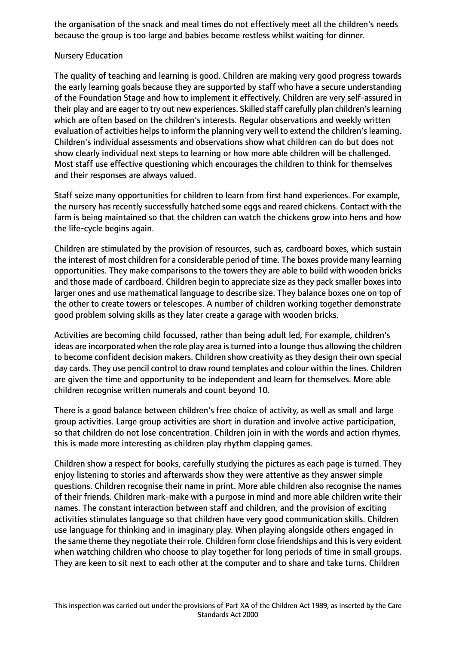the organisation of the snack and meal times do not effectively meet all the children's needs because the group is too large and babies become restless whilst waiting for dinner.

#### Nursery Education

The quality of teaching and learning is good. Children are making very good progress towards the early learning goals because they are supported by staff who have a secure understanding of the Foundation Stage and how to implement it effectively. Children are very self-assured in their play and are eager to try out new experiences. Skilled staff carefully plan children'slearning which are often based on the children's interests. Regular observations and weekly written evaluation of activities helps to inform the planning very well to extend the children's learning. Children's individual assessments and observations show what children can do but does not show clearly individual next steps to learning or how more able children will be challenged. Most staff use effective questioning which encourages the children to think for themselves and their responses are always valued.

Staff seize many opportunities for children to learn from first hand experiences. For example, the nursery has recently successfully hatched some eggs and reared chickens. Contact with the farm is being maintained so that the children can watch the chickens grow into hens and how the life-cycle begins again.

Children are stimulated by the provision of resources, such as, cardboard boxes, which sustain the interest of most children for a considerable period of time. The boxes provide many learning opportunities. They make comparisons to the towers they are able to build with wooden bricks and those made of cardboard. Children begin to appreciate size as they pack smaller boxes into larger ones and use mathematical language to describe size. They balance boxes one on top of the other to create towers or telescopes. A number of children working together demonstrate good problem solving skills as they later create a garage with wooden bricks.

Activities are becoming child focussed, rather than being adult led, For example, children's ideas are incorporated when the role play area is turned into a lounge thus allowing the children to become confident decision makers. Children show creativity as they design their own special day cards. They use pencil control to draw round templates and colour within the lines. Children are given the time and opportunity to be independent and learn for themselves. More able children recognise written numerals and count beyond 10.

There is a good balance between children's free choice of activity, as well as small and large group activities. Large group activities are short in duration and involve active participation, so that children do not lose concentration. Children join in with the words and action rhymes, this is made more interesting as children play rhythm clapping games.

Children show a respect for books, carefully studying the pictures as each page is turned. They enjoy listening to stories and afterwards show they were attentive as they answer simple questions. Children recognise their name in print. More able children also recognise the names of their friends. Children mark-make with a purpose in mind and more able children write their names. The constant interaction between staff and children, and the provision of exciting activities stimulates language so that children have very good communication skills. Children use language for thinking and in imaginary play. When playing alongside others engaged in the same theme they negotiate their role. Children form close friendships and this is very evident when watching children who choose to play together for long periods of time in small groups. They are keen to sit next to each other at the computer and to share and take turns. Children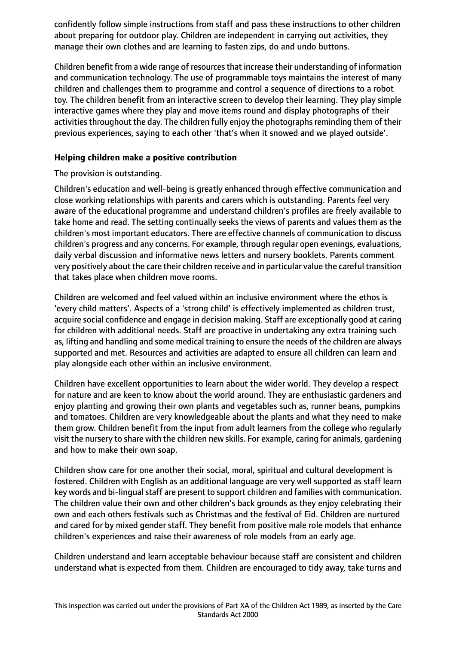confidently follow simple instructions from staff and pass these instructions to other children about preparing for outdoor play. Children are independent in carrying out activities, they manage their own clothes and are learning to fasten zips, do and undo buttons.

Children benefit from a wide range of resources that increase their understanding of information and communication technology. The use of programmable toys maintains the interest of many children and challenges them to programme and control a sequence of directions to a robot toy. The children benefit from an interactive screen to develop their learning. They play simple interactive games where they play and move items round and display photographs of their activities throughout the day. The children fully enjoy the photographs reminding them of their previous experiences, saying to each other 'that's when it snowed and we played outside'.

## **Helping children make a positive contribution**

The provision is outstanding.

Children's education and well-being is greatly enhanced through effective communication and close working relationships with parents and carers which is outstanding. Parents feel very aware of the educational programme and understand children's profiles are freely available to take home and read. The setting continually seeks the views of parents and values them as the children's most important educators. There are effective channels of communication to discuss children's progress and any concerns. For example, through regular open evenings, evaluations, daily verbal discussion and informative news letters and nursery booklets. Parents comment very positively about the care their children receive and in particular value the careful transition that takes place when children move rooms.

Children are welcomed and feel valued within an inclusive environment where the ethos is 'every child matters'. Aspects of a 'strong child' is effectively implemented as children trust, acquire social confidence and engage in decision making. Staff are exceptionally good at caring for children with additional needs. Staff are proactive in undertaking any extra training such as, lifting and handling and some medical training to ensure the needs of the children are always supported and met. Resources and activities are adapted to ensure all children can learn and play alongside each other within an inclusive environment.

Children have excellent opportunities to learn about the wider world. They develop a respect for nature and are keen to know about the world around. They are enthusiastic gardeners and enjoy planting and growing their own plants and vegetables such as, runner beans, pumpkins and tomatoes. Children are very knowledgeable about the plants and what they need to make them grow. Children benefit from the input from adult learners from the college who regularly visit the nursery to share with the children new skills. For example, caring for animals, gardening and how to make their own soap.

Children show care for one another their social, moral, spiritual and cultural development is fostered. Children with English as an additional language are very well supported as staff learn key words and bi-lingual staff are present to support children and families with communication. The children value their own and other children's back grounds as they enjoy celebrating their own and each others festivals such as Christmas and the festival of Eid. Children are nurtured and cared for by mixed gender staff. They benefit from positive male role models that enhance children's experiences and raise their awareness of role models from an early age.

Children understand and learn acceptable behaviour because staff are consistent and children understand what is expected from them. Children are encouraged to tidy away, take turns and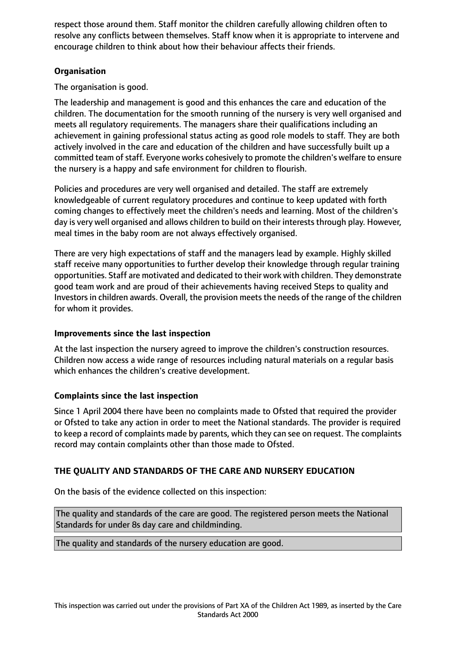respect those around them. Staff monitor the children carefully allowing children often to resolve any conflicts between themselves. Staff know when it is appropriate to intervene and encourage children to think about how their behaviour affects their friends.

## **Organisation**

The organisation is good.

The leadership and management is good and this enhances the care and education of the children. The documentation for the smooth running of the nursery is very well organised and meets all regulatory requirements. The managers share their qualifications including an achievement in gaining professional status acting as good role models to staff. They are both actively involved in the care and education of the children and have successfully built up a committed team of staff. Everyone works cohesively to promote the children's welfare to ensure the nursery is a happy and safe environment for children to flourish.

Policies and procedures are very well organised and detailed. The staff are extremely knowledgeable of current regulatory procedures and continue to keep updated with forth coming changes to effectively meet the children's needs and learning. Most of the children's day is very well organised and allows children to build on their interests through play. However, meal times in the baby room are not always effectively organised.

There are very high expectations of staff and the managers lead by example. Highly skilled staff receive many opportunities to further develop their knowledge through regular training opportunities. Staff are motivated and dedicated to their work with children. They demonstrate good team work and are proud of their achievements having received Steps to quality and Investors in children awards. Overall, the provision meets the needs of the range of the children for whom it provides.

#### **Improvements since the last inspection**

At the last inspection the nursery agreed to improve the children's construction resources. Children now access a wide range of resources including natural materials on a regular basis which enhances the children's creative development.

## **Complaints since the last inspection**

Since 1 April 2004 there have been no complaints made to Ofsted that required the provider or Ofsted to take any action in order to meet the National standards. The provider is required to keep a record of complaints made by parents, which they can see on request. The complaints record may contain complaints other than those made to Ofsted.

## **THE QUALITY AND STANDARDS OF THE CARE AND NURSERY EDUCATION**

On the basis of the evidence collected on this inspection:

The quality and standards of the care are good. The registered person meets the National Standards for under 8s day care and childminding.

The quality and standards of the nursery education are good.